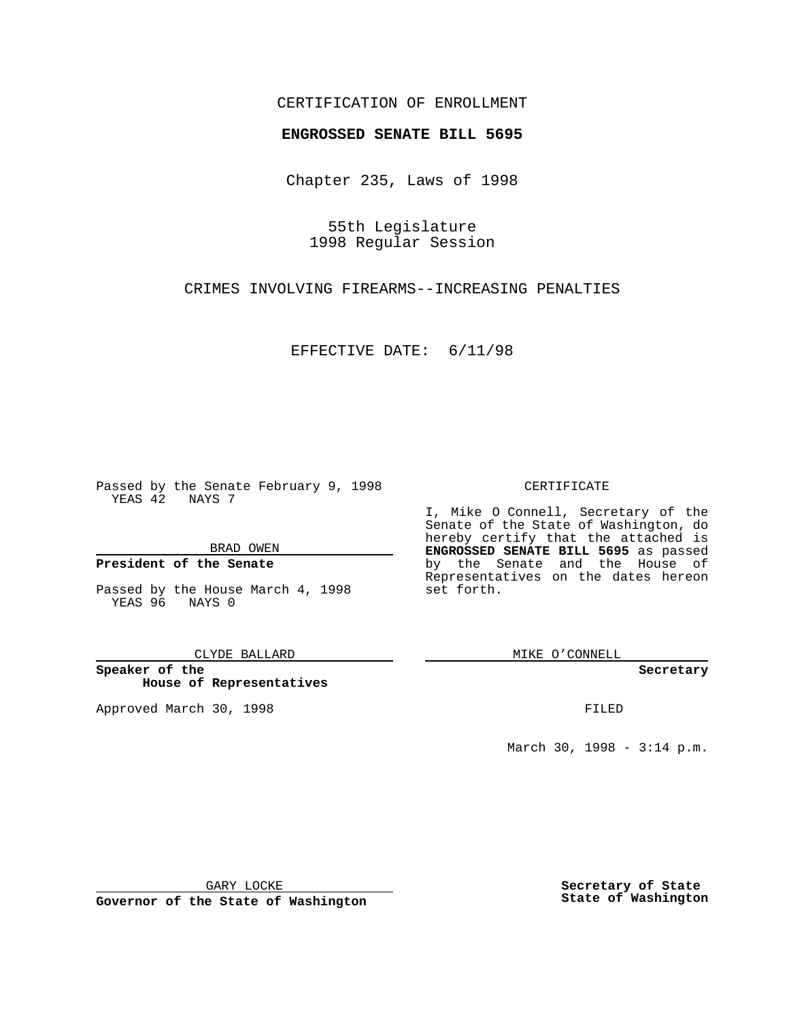### CERTIFICATION OF ENROLLMENT

## **ENGROSSED SENATE BILL 5695**

Chapter 235, Laws of 1998

55th Legislature 1998 Regular Session

CRIMES INVOLVING FIREARMS--INCREASING PENALTIES

EFFECTIVE DATE: 6/11/98

Passed by the Senate February 9, 1998 YEAS 42 NAYS 7

BRAD OWEN

### **President of the Senate**

Passed by the House March 4, 1998 YEAS 96 NAYS 0

CLYDE BALLARD

**Speaker of the House of Representatives**

Approved March 30, 1998 **FILED** 

#### CERTIFICATE

I, Mike O Connell, Secretary of the Senate of the State of Washington, do hereby certify that the attached is **ENGROSSED SENATE BILL 5695** as passed by the Senate and the House of Representatives on the dates hereon set forth.

MIKE O'CONNELL

**Secretary**

March 30, 1998 - 3:14 p.m.

GARY LOCKE

**Governor of the State of Washington**

**Secretary of State State of Washington**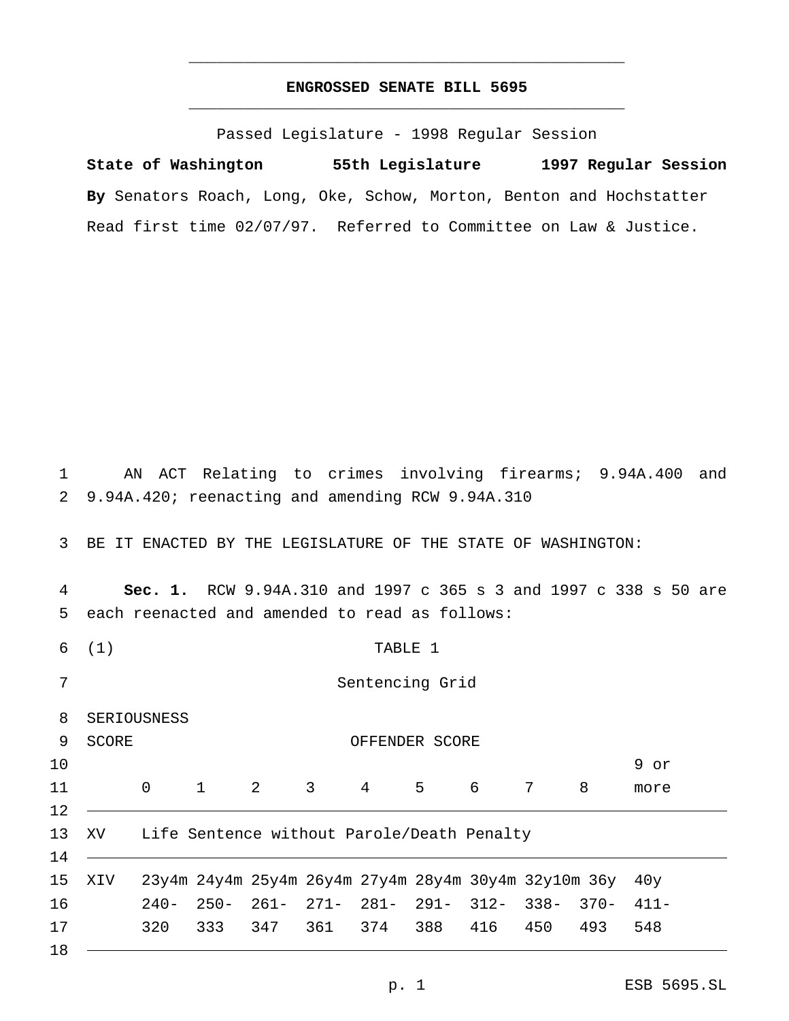# **ENGROSSED SENATE BILL 5695** \_\_\_\_\_\_\_\_\_\_\_\_\_\_\_\_\_\_\_\_\_\_\_\_\_\_\_\_\_\_\_\_\_\_\_\_\_\_\_\_\_\_\_\_\_\_\_

\_\_\_\_\_\_\_\_\_\_\_\_\_\_\_\_\_\_\_\_\_\_\_\_\_\_\_\_\_\_\_\_\_\_\_\_\_\_\_\_\_\_\_\_\_\_\_

Passed Legislature - 1998 Regular Session

**State of Washington 55th Legislature 1997 Regular Session By** Senators Roach, Long, Oke, Schow, Morton, Benton and Hochstatter Read first time 02/07/97. Referred to Committee on Law & Justice.

 AN ACT Relating to crimes involving firearms; 9.94A.400 and 9.94A.420; reenacting and amending RCW 9.94A.310 BE IT ENACTED BY THE LEGISLATURE OF THE STATE OF WASHINGTON: **Sec. 1.** RCW 9.94A.310 and 1997 c 365 s 3 and 1997 c 338 s 50 are each reenacted and amended to read as follows: (1) TABLE 1 Sentencing Grid SERIOUSNESS SCORE OFFENDER SCORE 9 or 11 0 1 2 3 4 5 6 7 8 more XV Life Sentence without Parole/Death Penalty XIV 23y4m 24y4m 25y4m 26y4m 27y4m 28y4m 30y4m 32y10m 36y 40y 240- 250- 261- 271- 281- 291- 312- 338- 370- 411- 320 333 347 361 374 388 416 450 493 548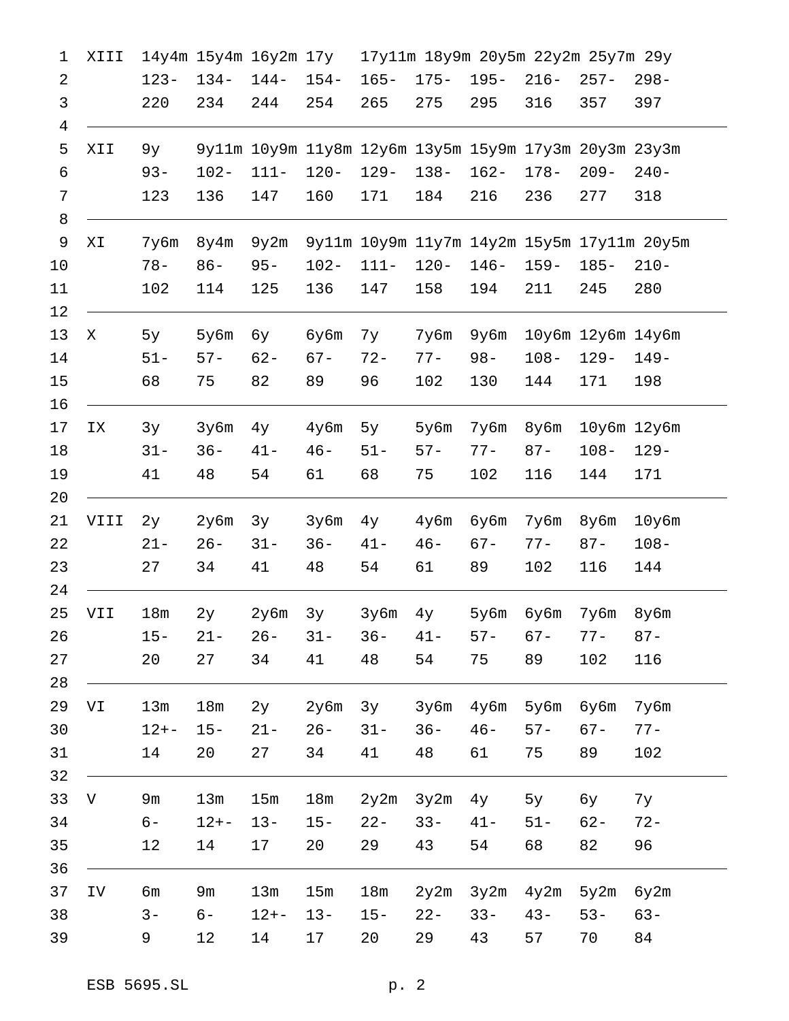| 1              | XIII |          |                 | 14y4m 15y4m 16y2m 17y |         | 17y11m 18y9m 20y5m 22y2m 25y7m 29y |         |                                                       |         |                            |                                            |
|----------------|------|----------|-----------------|-----------------------|---------|------------------------------------|---------|-------------------------------------------------------|---------|----------------------------|--------------------------------------------|
| 2              |      | $123 -$  | $134-$          | $144-$                | $154 -$ | $165 -$                            | $175 -$ | $195 -$                                               | $216 -$ | $257 -$                    | $298 -$                                    |
| 3              |      | 220      | 234             | 244                   | 254     | 265                                | 275     | 295                                                   | 316     | 357                        | 397                                        |
| $\overline{4}$ |      |          |                 |                       |         |                                    |         |                                                       |         |                            |                                            |
| 5              | XII  | 9у       |                 |                       |         |                                    |         | 9y11m 10y9m 11y8m 12y6m 13y5m 15y9m 17y3m 20y3m 23y3m |         |                            |                                            |
| 6              |      | $93 -$   | $102 -$         | $111 -$               | $120 -$ | $129 -$                            | $138 -$ | $162 -$                                               | $178 -$ | $209 -$                    | $240-$                                     |
| 7              |      | 123      | 136             | 147                   | 160     | 171                                | 184     | 216                                                   | 236     | 277                        | 318                                        |
| 8              |      |          |                 |                       |         |                                    |         |                                                       |         |                            |                                            |
| 9              | ΧI   | 7y6m     | 8y4m            | 9y2m                  |         |                                    |         |                                                       |         |                            | 9y11m 10y9m 11y7m 14y2m 15y5m 17y11m 20y5m |
| 10             |      | $78 -$   | $86 -$          | $95 -$                | $102 -$ | $111 -$                            | $120 -$ | $146 -$                                               | $159 -$ | $185 -$                    | $210-$                                     |
| 11             |      | 102      | 114             | 125                   | 136     | 147                                | 158     | 194                                                   | 211     | 245                        | 280                                        |
| 12             |      |          |                 |                       |         |                                    |         |                                                       |         |                            |                                            |
| 13             | X    | 5y       | 5y6m            | бу                    | бу6m    | 7у                                 | 7y6m    | 9y6m                                                  |         | $10y$ 6m $12y$ 6m $14y$ 6m |                                            |
| 14             |      | $51 -$   | $57 -$          | $62 -$                | $67 -$  | $72 -$                             | $77 -$  | $98 -$                                                | $108 -$ | $129 -$                    | $149-$                                     |
| 15             |      | 68       | 75              | 82                    | 89      | 96                                 | 102     | 130                                                   | 144     | 171                        | 198                                        |
| 16             |      |          |                 |                       |         |                                    |         |                                                       |         |                            |                                            |
| 17             | ΙX   | 3y       | 3y6m            | 4y                    | $4y$ 6m | 5y                                 | 5y6m    | 7y6m                                                  | 8у6m    |                            | $10y6m$ $12y6m$                            |
| 18             |      | $31 -$   | $36 -$          | $41 -$                | $46 -$  | $51 -$                             | $57 -$  | $77 -$                                                | $87 -$  | $108 -$                    | $129 -$                                    |
| 19             |      | 41       | 48              | 54                    | 61      | 68                                 | 75      | 102                                                   | 116     | 144                        | 171                                        |
| 20             |      |          |                 |                       |         |                                    |         |                                                       |         |                            |                                            |
| 21             | VIII | 2y       | 2y6m            | 3y                    | 3y6m    | $4$ y                              | $4y$ 6m | бубm                                                  | 7y6m    | $8y$ 6m                    | $10y$ 6m                                   |
| 22             |      | $21 -$   | $26 -$          | $31 -$                | $36 -$  | $41 -$                             | $46 -$  | $67 -$                                                | $77 -$  | $87 -$                     | $108 -$                                    |
| 23             |      | 27       | 34              | 41                    | 48      | 54                                 | 61      | 89                                                    | 102     | 116                        | 144                                        |
| 24             |      |          |                 |                       |         |                                    |         |                                                       |         |                            |                                            |
| 25             | VII  | 18m      | 2y              | $2y$ 6m               | 3y      | 3y6m                               | $4$ y   | 5у6m                                                  | бубm    | 7y6m                       | $8y$ 6m                                    |
| 26             |      | $15 -$   | $21 -$          | $26 -$                | $31 -$  | $36 -$                             | $41 -$  | $57 -$                                                | $67 -$  | $77 -$                     | $87 -$                                     |
| 27             |      | 20       | 27              | 34                    | 41      | 48                                 | 54      | 75                                                    | 89      | 102                        | 116                                        |
| 28             |      |          |                 |                       |         |                                    |         |                                                       |         |                            |                                            |
| 29             | VI   | 13m      | 18 <sub>m</sub> | $2\mathrm{y}$         | $2y$ 6m | 3y                                 |         | 3y6m 4y6m 5y6m 6y6m                                   |         |                            | 7y6m                                       |
| 30             |      | $12 + -$ | $15 -$          | $21 -$                | $26 -$  | $31 -$                             | $36 -$  | $46 -$                                                | $57 -$  | $67 -$                     | $77 -$                                     |
| 31             |      | 14       | 20              | 27                    | 34      | 41                                 | 48      | 61                                                    | 75      | 89                         | 102                                        |
| 32             |      |          |                 |                       |         |                                    |         |                                                       |         |                            |                                            |
| 33             | V    | 9m       | 13m             | 15m                   | 18m     | 2y2m                               | 3y2m    | $4$ y                                                 | 5у      | бу                         | 7y                                         |
| 34             |      | $6-$     | $12 + -$        | $13 -$                | $15 -$  | $22 -$                             | $33 -$  | $41 -$                                                | $51 -$  | $62 -$                     | $72 -$                                     |
| 35             |      | 12       | 14              | 17                    | 20      | 29                                 | 43      | 54                                                    | 68      | 82                         | 96                                         |
| 36             |      |          |                 |                       |         |                                    |         |                                                       |         |                            |                                            |
| 37             | IV   | бm       | 9m              | 13m                   | 15m     | 18m                                | 2y2m    | $3y2m$ $4y2m$ $5y2m$                                  |         |                            | 6y2m                                       |
| 38             |      | $3 -$    | $6-$            | $12 + -$              | $13 -$  | $15 -$                             | $22 -$  | $33 -$                                                | $43 -$  | $53 -$                     | $63 -$                                     |
| 39             |      | 9        | 12              | 14                    | 17      | 20                                 | 29      | 43                                                    | 57      | 70                         | 84                                         |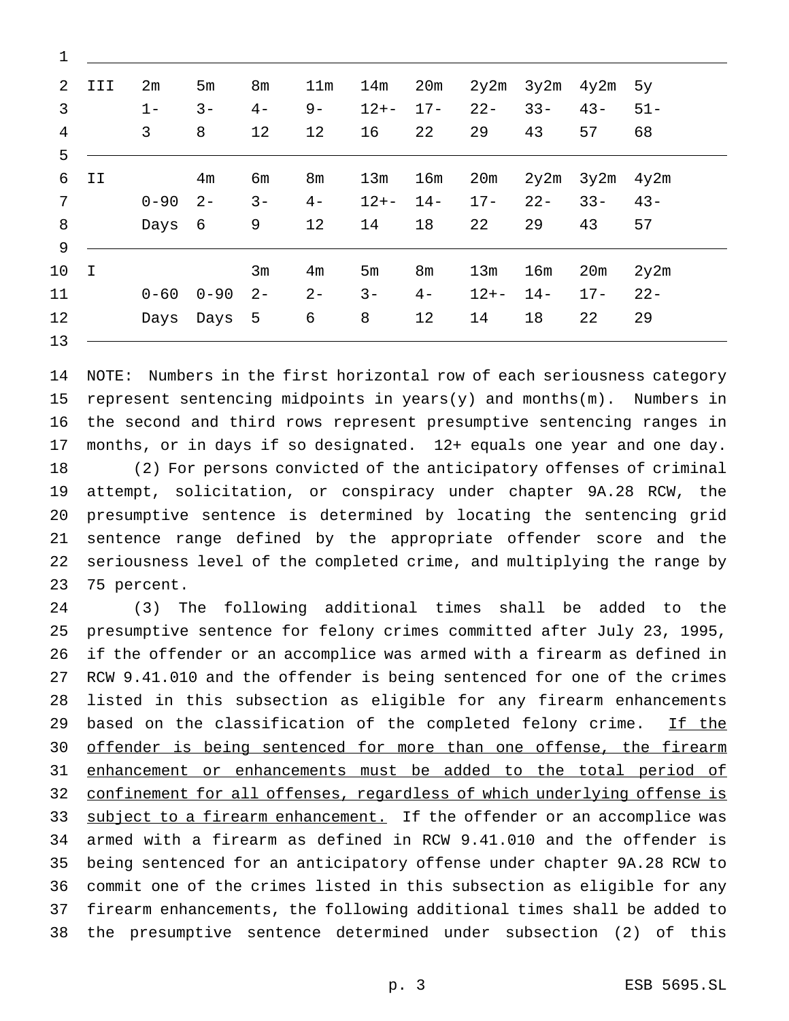| 1              |              |          |                |       |                 |                |                |          |        |        |        |
|----------------|--------------|----------|----------------|-------|-----------------|----------------|----------------|----------|--------|--------|--------|
| 2              | III          | 2m       | 5 <sub>m</sub> | 8m    | 11 <sub>m</sub> | 14m            | 20m            | 2y2m     | 3y2m   | 4y2m   | 5y     |
| 3              |              | $1 -$    | $3 -$          | $4-$  | $9-$            | $12 + -$       | $17 -$         | $22 -$   | $33 -$ | $43 -$ | $51 -$ |
| $\overline{4}$ |              | 3        | 8              | 12    | 12              | 16             | 22             | 29       | 43     | 57     | 68     |
| 5              |              |          |                |       |                 |                |                |          |        |        |        |
| 6              | ΙI           |          | 4 <sub>m</sub> | бm    | 8m              | 13m            | 16m            | 20m      | 2y2m   | 3y2m   | 4y2m   |
| 7              |              | $0 - 90$ | $2 -$          | $3 -$ | $4-$            | $12 + -$       | $14-$          | $17 -$   | $22 -$ | $33 -$ | $43-$  |
| 8              |              | Days     | - 6            | 9     | 12              | 14             | 18             | 22       | 29     | 43     | 57     |
| 9              |              |          |                |       |                 |                |                |          |        |        |        |
| 10             | $\mathbf{I}$ |          |                | 3m    | 4 <sub>m</sub>  | 5 <sub>m</sub> | 8 <sub>m</sub> | 13m      | 16m    | 20m    | 2y2m   |
| 11             |              | $0 - 60$ | $0 - 90$       | $2 -$ | $2 -$           | $3 -$          | $4-$           | $12 + -$ | $14-$  | $17 -$ | $22 -$ |
| 12             |              | Days     | Days 5         |       | 6               | 8              | 12             | 14       | 18     | 22     | 29     |
| 13             |              |          |                |       |                 |                |                |          |        |        |        |

 NOTE: Numbers in the first horizontal row of each seriousness category 15 represent sentencing midpoints in years(y) and months(m). Numbers in the second and third rows represent presumptive sentencing ranges in months, or in days if so designated. 12+ equals one year and one day. (2) For persons convicted of the anticipatory offenses of criminal attempt, solicitation, or conspiracy under chapter 9A.28 RCW, the presumptive sentence is determined by locating the sentencing grid sentence range defined by the appropriate offender score and the seriousness level of the completed crime, and multiplying the range by 75 percent.

 (3) The following additional times shall be added to the presumptive sentence for felony crimes committed after July 23, 1995, if the offender or an accomplice was armed with a firearm as defined in RCW 9.41.010 and the offender is being sentenced for one of the crimes listed in this subsection as eligible for any firearm enhancements 29 based on the classification of the completed felony crime. If the 30 offender is being sentenced for more than one offense, the firearm 31 enhancement or enhancements must be added to the total period of confinement for all offenses, regardless of which underlying offense is 33 subject to a firearm enhancement. If the offender or an accomplice was armed with a firearm as defined in RCW 9.41.010 and the offender is being sentenced for an anticipatory offense under chapter 9A.28 RCW to commit one of the crimes listed in this subsection as eligible for any firearm enhancements, the following additional times shall be added to the presumptive sentence determined under subsection (2) of this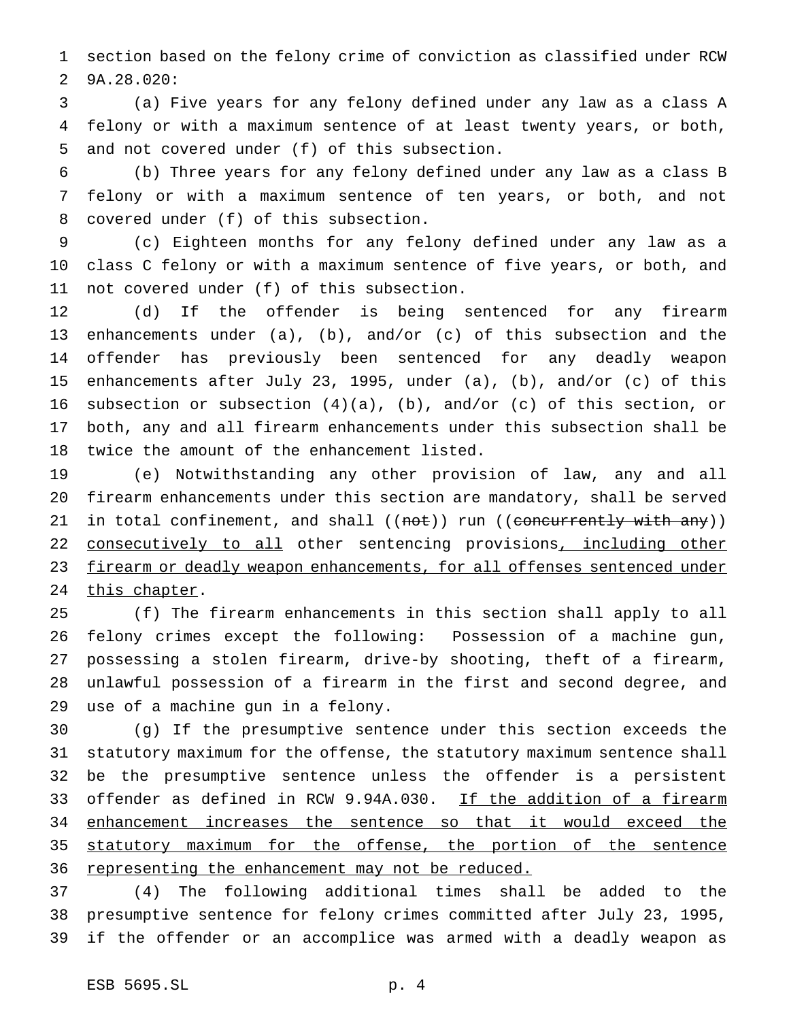section based on the felony crime of conviction as classified under RCW 9A.28.020:

 (a) Five years for any felony defined under any law as a class A felony or with a maximum sentence of at least twenty years, or both, and not covered under (f) of this subsection.

 (b) Three years for any felony defined under any law as a class B felony or with a maximum sentence of ten years, or both, and not covered under (f) of this subsection.

 (c) Eighteen months for any felony defined under any law as a class C felony or with a maximum sentence of five years, or both, and not covered under (f) of this subsection.

 (d) If the offender is being sentenced for any firearm enhancements under (a), (b), and/or (c) of this subsection and the offender has previously been sentenced for any deadly weapon enhancements after July 23, 1995, under (a), (b), and/or (c) of this subsection or subsection (4)(a), (b), and/or (c) of this section, or both, any and all firearm enhancements under this subsection shall be twice the amount of the enhancement listed.

 (e) Notwithstanding any other provision of law, any and all firearm enhancements under this section are mandatory, shall be served 21 in total confinement, and shall  $((\text{not}))$  run  $((\text{concurrently with any}))$ 22 consecutively to all other sentencing provisions, including other 23 firearm or deadly weapon enhancements, for all offenses sentenced under 24 this chapter.

 (f) The firearm enhancements in this section shall apply to all felony crimes except the following: Possession of a machine gun, possessing a stolen firearm, drive-by shooting, theft of a firearm, unlawful possession of a firearm in the first and second degree, and use of a machine gun in a felony.

 (g) If the presumptive sentence under this section exceeds the statutory maximum for the offense, the statutory maximum sentence shall be the presumptive sentence unless the offender is a persistent offender as defined in RCW 9.94A.030. If the addition of a firearm enhancement increases the sentence so that it would exceed the statutory maximum for the offense, the portion of the sentence 36 representing the enhancement may not be reduced.

 (4) The following additional times shall be added to the presumptive sentence for felony crimes committed after July 23, 1995, if the offender or an accomplice was armed with a deadly weapon as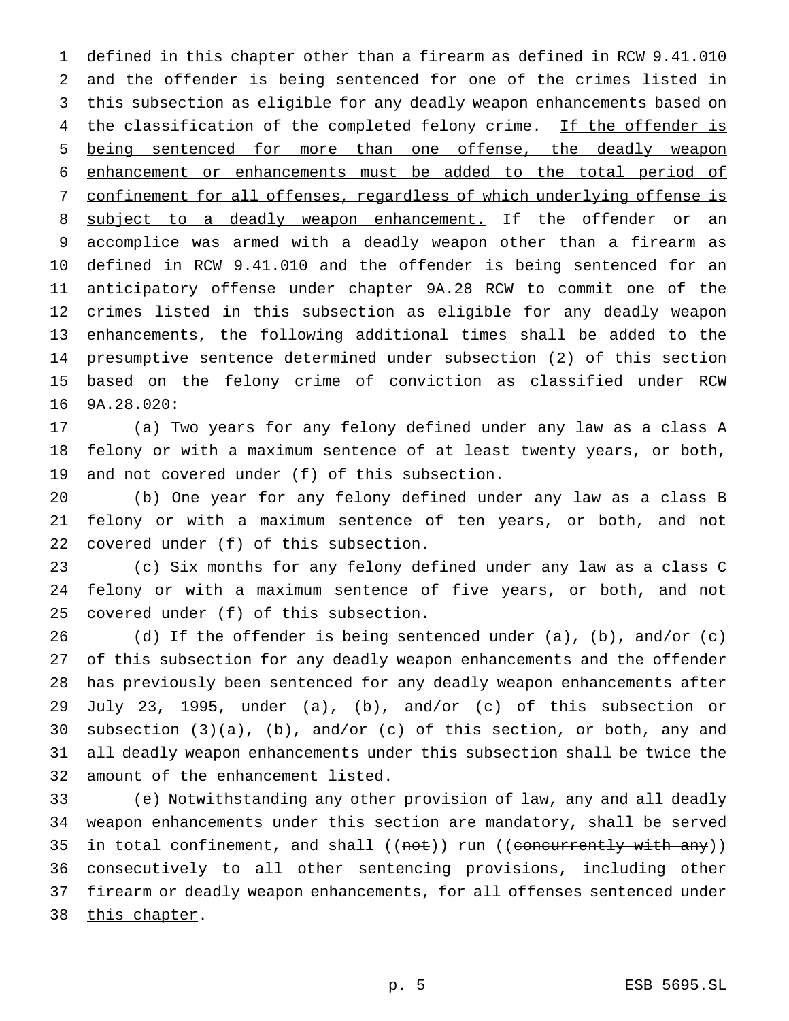defined in this chapter other than a firearm as defined in RCW 9.41.010 and the offender is being sentenced for one of the crimes listed in this subsection as eligible for any deadly weapon enhancements based on 4 the classification of the completed felony crime. If the offender is 5 being sentenced for more than one offense, the deadly weapon enhancement or enhancements must be added to the total period of confinement for all offenses, regardless of which underlying offense is 8 subject to a deadly weapon enhancement. If the offender or an accomplice was armed with a deadly weapon other than a firearm as defined in RCW 9.41.010 and the offender is being sentenced for an anticipatory offense under chapter 9A.28 RCW to commit one of the crimes listed in this subsection as eligible for any deadly weapon enhancements, the following additional times shall be added to the presumptive sentence determined under subsection (2) of this section based on the felony crime of conviction as classified under RCW 9A.28.020:

 (a) Two years for any felony defined under any law as a class A felony or with a maximum sentence of at least twenty years, or both, and not covered under (f) of this subsection.

 (b) One year for any felony defined under any law as a class B felony or with a maximum sentence of ten years, or both, and not covered under (f) of this subsection.

 (c) Six months for any felony defined under any law as a class C felony or with a maximum sentence of five years, or both, and not covered under (f) of this subsection.

 (d) If the offender is being sentenced under (a), (b), and/or (c) of this subsection for any deadly weapon enhancements and the offender has previously been sentenced for any deadly weapon enhancements after July 23, 1995, under (a), (b), and/or (c) of this subsection or subsection (3)(a), (b), and/or (c) of this section, or both, any and all deadly weapon enhancements under this subsection shall be twice the amount of the enhancement listed.

 (e) Notwithstanding any other provision of law, any and all deadly weapon enhancements under this section are mandatory, shall be served 35 in total confinement, and shall ((not)) run ((concurrently with any)) 36 consecutively to all other sentencing provisions, including other 37 firearm or deadly weapon enhancements, for all offenses sentenced under this chapter.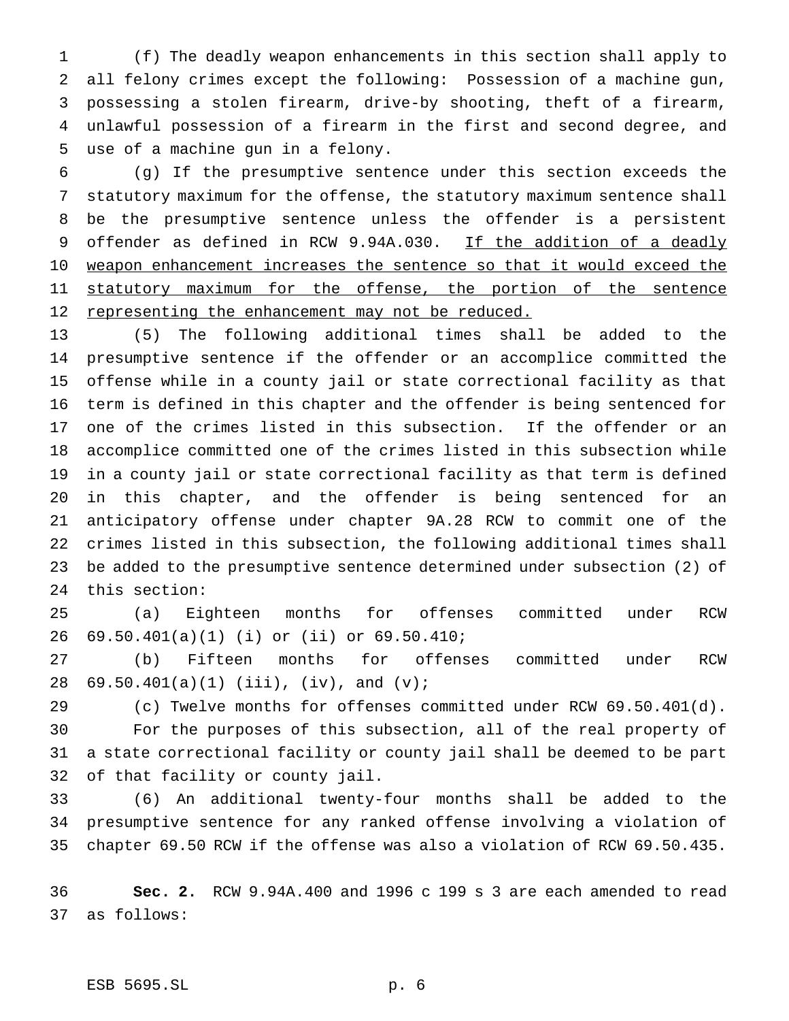(f) The deadly weapon enhancements in this section shall apply to all felony crimes except the following: Possession of a machine gun, possessing a stolen firearm, drive-by shooting, theft of a firearm, unlawful possession of a firearm in the first and second degree, and use of a machine gun in a felony.

 (g) If the presumptive sentence under this section exceeds the statutory maximum for the offense, the statutory maximum sentence shall be the presumptive sentence unless the offender is a persistent 9 offender as defined in RCW 9.94A.030. If the addition of a deadly weapon enhancement increases the sentence so that it would exceed the 11 statutory maximum for the offense, the portion of the sentence 12 representing the enhancement may not be reduced.

 (5) The following additional times shall be added to the presumptive sentence if the offender or an accomplice committed the offense while in a county jail or state correctional facility as that term is defined in this chapter and the offender is being sentenced for one of the crimes listed in this subsection. If the offender or an accomplice committed one of the crimes listed in this subsection while in a county jail or state correctional facility as that term is defined in this chapter, and the offender is being sentenced for an anticipatory offense under chapter 9A.28 RCW to commit one of the crimes listed in this subsection, the following additional times shall be added to the presumptive sentence determined under subsection (2) of this section:

 (a) Eighteen months for offenses committed under RCW 69.50.401(a)(1) (i) or (ii) or 69.50.410;

 (b) Fifteen months for offenses committed under RCW 28  $69.50.401(a)(1)$  (iii), (iv), and (v);

 (c) Twelve months for offenses committed under RCW 69.50.401(d). For the purposes of this subsection, all of the real property of a state correctional facility or county jail shall be deemed to be part of that facility or county jail.

 (6) An additional twenty-four months shall be added to the presumptive sentence for any ranked offense involving a violation of chapter 69.50 RCW if the offense was also a violation of RCW 69.50.435.

 **Sec. 2.** RCW 9.94A.400 and 1996 c 199 s 3 are each amended to read as follows: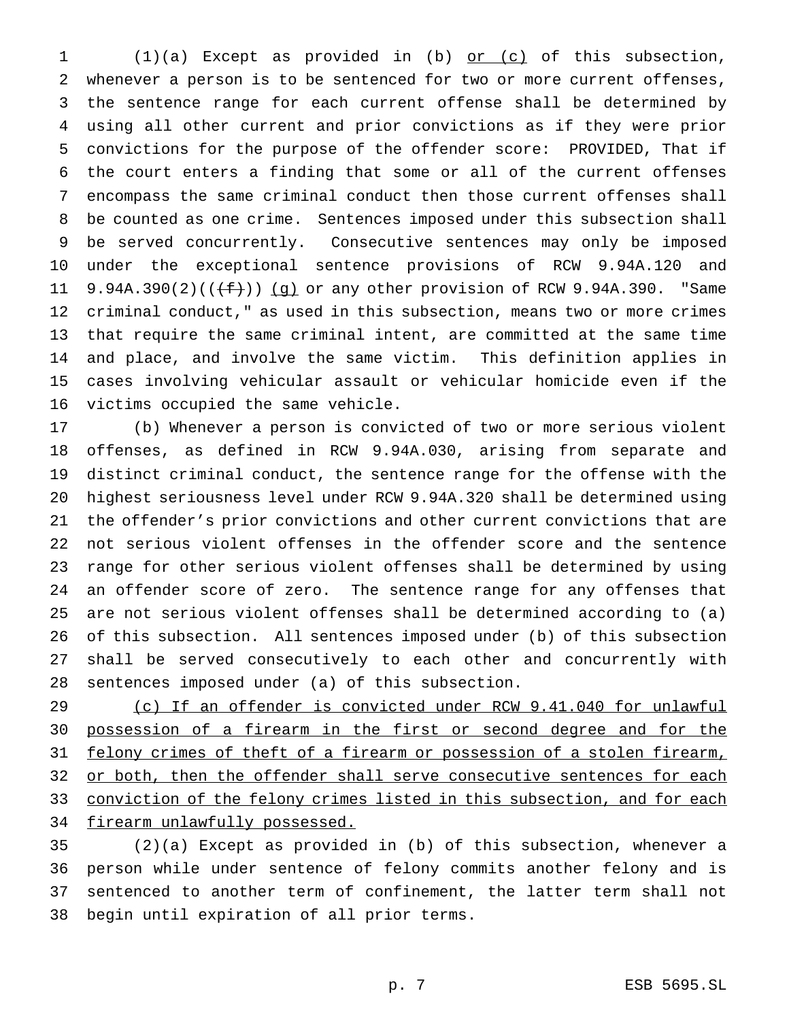1 (1)(a) Except as provided in (b) or (c) of this subsection, whenever a person is to be sentenced for two or more current offenses, the sentence range for each current offense shall be determined by using all other current and prior convictions as if they were prior convictions for the purpose of the offender score: PROVIDED, That if the court enters a finding that some or all of the current offenses encompass the same criminal conduct then those current offenses shall be counted as one crime. Sentences imposed under this subsection shall be served concurrently. Consecutive sentences may only be imposed under the exceptional sentence provisions of RCW 9.94A.120 and 11 9.94A.390(2)( $(\frac{f}{f})$ ) (g) or any other provision of RCW 9.94A.390. "Same criminal conduct," as used in this subsection, means two or more crimes that require the same criminal intent, are committed at the same time and place, and involve the same victim. This definition applies in cases involving vehicular assault or vehicular homicide even if the victims occupied the same vehicle.

 (b) Whenever a person is convicted of two or more serious violent offenses, as defined in RCW 9.94A.030, arising from separate and distinct criminal conduct, the sentence range for the offense with the highest seriousness level under RCW 9.94A.320 shall be determined using the offender's prior convictions and other current convictions that are not serious violent offenses in the offender score and the sentence range for other serious violent offenses shall be determined by using an offender score of zero. The sentence range for any offenses that are not serious violent offenses shall be determined according to (a) of this subsection. All sentences imposed under (b) of this subsection shall be served consecutively to each other and concurrently with sentences imposed under (a) of this subsection.

 (c) If an offender is convicted under RCW 9.41.040 for unlawful possession of a firearm in the first or second degree and for the 31 felony crimes of theft of a firearm or possession of a stolen firearm, 32 or both, then the offender shall serve consecutive sentences for each 33 conviction of the felony crimes listed in this subsection, and for each 34 firearm unlawfully possessed.

 (2)(a) Except as provided in (b) of this subsection, whenever a person while under sentence of felony commits another felony and is sentenced to another term of confinement, the latter term shall not begin until expiration of all prior terms.